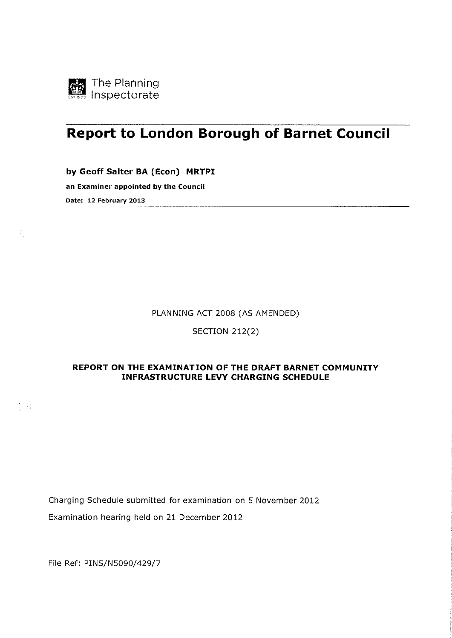

 $\langle$ 

 $\{\,\cdot\,\cdot\,\}$ 

# **Report to London Borough of Barnet Council**

by Geoff Salter BA (Econ) **MRTPI** 

an Examiner appointed by the Council Date: 12 February 2013

PLANNING ACT 2008 (AS AMENDED)

SECTION 212(2)

# **REPORT ON THE EXAMINATION OF THE DRAFT BARNET COMMUNITY INFRASTRUCTURE LEVY CHARGING SCHEDULE**

Charging Schedule submitted for examination on 5 November 2012 Examination hearing held on 21 December 2012

File Ref: PINS/N5090/429/7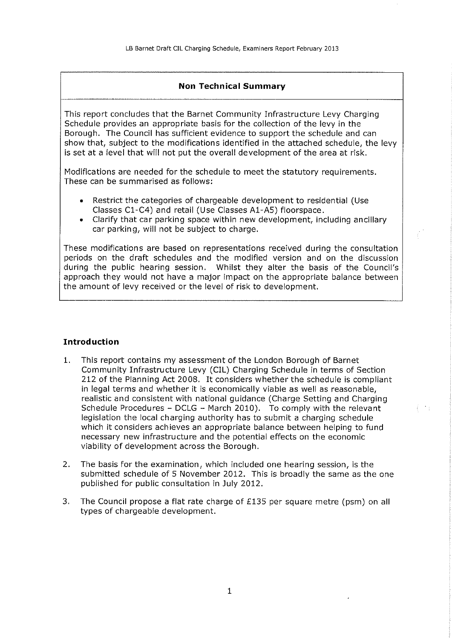## **Non Technical Summary**

This report concludes that the Barnet Community Infrastructure Levy Charging Schedule provides an appropriate basis for the collection of the levy in the Borough. The Council has sufficient evidence to support the schedule and can show that, subject to the modifications identified in the attached schedule, the levy is set at a level that will not put the overall development of the area at risk.

Modifications are needed for the schedule to meet the statutory requirements. These can be summarised as follows:

- Restrict the categories of chargeable development to residential (Use Classes Cl-C4) and retail (Use Classes Al-AS) floorspace.
- Clarify that car parking space within new development, including ancillary car parking, will not be subject to charge.

These modifications are based on representations received during the consultation periods on the draft schedules and the modified version and on the discussion during the public hearing session. Whilst they alter the basis of the Council's approach they would not have a major impact on the appropriate balance between the amount of levy received or the level of risk to development.

## **Introduction**

- **1.** This report contains my assessment of the London Borough of Barnet Community Infrastructure Levy (CIL) Charging Schedule in terms of Section 212 of the Planning Act 2008. It considers whether the schedule is compliant in legal terms and whether it is economically viable as well as reasonable, realistic and consistent with national guidance (Charge Setting and Charging Schedule Procedures - DCLG - March 2010). To comply with the relevant legislation the local charging authority has to submit a charging schedule which it considers achieves an appropriate balance between helping to fund necessary new infrastructure and the potential effects on the economic viability of development across the Borough.
- 2. The basis for the examination, which included one hearing session, is the submitted schedule of 5 November 2012. This is broadly the same as the one published for public consultation in July 2012.
- 3. The Council propose a flat rate charge of £135 per square metre (psm) on **all**  types of chargeable development.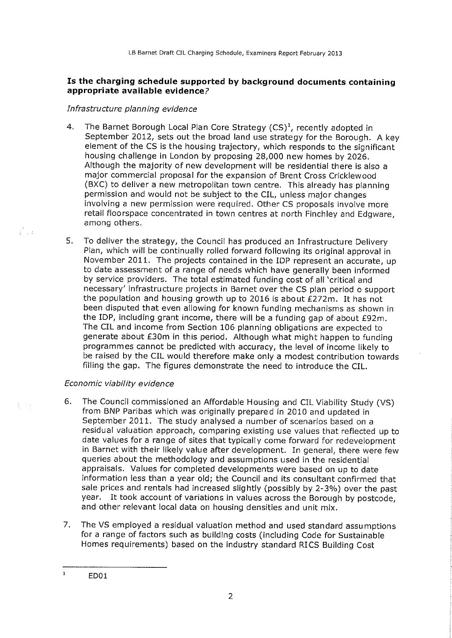# **Is the charging schedule supported by background documents containing appropriate available evidence?**

## Infrastructure planning evidence

- 4. The Barnet Borough Local Plan Core Strategy  $(CS)^1$ , recently adopted in September 2012, sets out the broad land use strategy for the Borough. A key element of the CS is the housing trajectory, which responds to the significant housing challenge in London by proposing 28,000 new homes by 2026. Although the majority of new development will be residential there is also a major commercial proposal for the expansion of Brent Cross Cricklewood (BXC) to deliver a new metropolitan town centre. This already has planning permission and would not be subject to the CIL, unless major changes involving a new permission were required. Other CS proposals involve more retail floorspace concentrated in town centres at north Finchley and Edgware, among others.
- 5. To deliver the strategy, the Council has produced an Infrastructure Delivery Plan, which will be continually rolled forward following its original approval in November 2011. The projects contained in the IDP represent an accurate, up to date assessment of a range of needs which have generally been informed by service providers. The total estimated funding cost of all 'critical and necessary' infrastructure projects in Barnet over the CS plan period o support the population and housing growth up to 2016 is about £272m. It has not been disputed that even allowing for known funding mechanisms as shown in the IDP, including grant income, there will be a funding gap of about £92m. The CIL and income from Section 106 planning obligations are expected to generate about £30m in this period. Although what might happen to funding programmes cannot be predicted with accuracy, the level of income likely to be raised by the CIL would therefore make only a modest contribution towards filling the gap. The figures demonstrate the need to introduce the CIL.

# Economic viability evidence

 $\hat{U}$  .

毛の子

- 6. The Council commissioned an Affordable Housing and CIL Viability Study (VS) from BNP Paribas which was originally prepared in 2010 and updated in September 2011. The study analysed a number of scenarios based on a residual valuation approach, comparing existing use values that reflected up to date values for a range of sites that typically come forward for redevelopment in Barnet with their likely value after development. In general, there were few queries about the methodology and assumptions used in the residential appraisals. Values for completed developments were based on up to date information less than a year old; the Council and its consultant confirmed that sale prices and rentals had increased slightly (possibly by 2-3%) over the past year. It took account of variations in values across the Borough by postcode, and other relevant local data on housing densities and unit mix.
- 7. The VS employed a residual valuation method and used standard assumptions for a range of factors such as building costs (including Code for Sustainable Homes requirements) based on the industry standard RICS Building Cost

 $\mathbf{1}$ ED01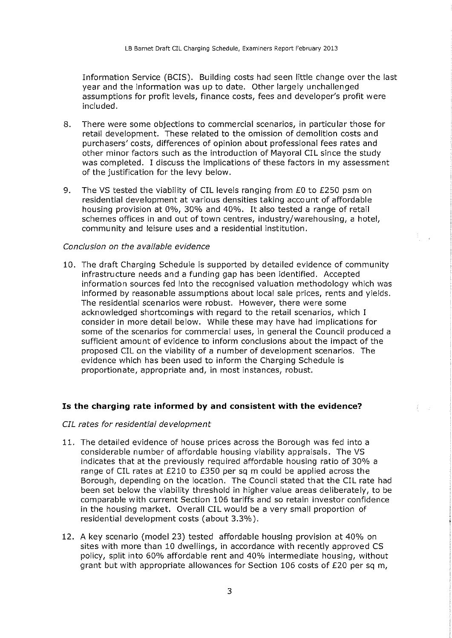Information Service (BCIS). Building costs had seen little change over the last year and the information was up to date. Other largely unchallenged assumptions for profit levels, finance costs, fees and developer's profit were included.

- 8. There were some objections to commercial scenarios, in particular those for retail development. These related to the omission of demolition costs and purchasers' costs, differences of opinion about professional fees rates and other minor factors such as the introduction of Mayoral CIL since the study was completed. I discuss the implications of these factors in my assessment of the justification for the levy below.
- 9. The VS tested the viability of CIL levels ranging from £0 to £250 psm on residential development at various densities taking account of affordable housing provision at 0%, 30% and 40%. It also tested a range of retail schemes offices in and out of town centres, industry/warehousing, a hotel, community and leisure uses and a residential institution.

#### Conclusion on the available evidence

10. The draft Charging Schedule is supported by detailed evidence of community infrastructure needs and a funding gap has been identified. Accepted information sources fed into the recognised valuation methodology which was informed by reasonable assumptions about local sale prices, rents and yields. The residential scenarios were robust. However, there were some acknowledged shortcomings with regard to the retail scenarios, which I consider in more detail below. While these may have had implications for some of the scenarios for commercial uses, in general the Council produced a sufficient amount of evidence to inform conclusions about the impact of the proposed CIL on the viability of a number of development scenarios. The evidence which has been used to inform the Charging Schedule is proportionate, appropriate and, in most instances, robust.

#### **Is the charging rate informed by and consistent with the evidence?**

### CIL rates for residential development

- 11. The detailed evidence of house prices across the Borough was fed into a considerable number of affordable housing viability appraisals. The VS indicates that at the previously required affordable housing ratio of 30% a range of CIL rates at £210 to £350 per sq m could be applied across the Borough, depending on the location. The Council stated that the CIL rate had been set below the viability threshold in higher value areas deliberately, to be comparable with current Section 106 tariffs and so retain investor confidence in the housing market. Overall CIL would be a very small proportion of residential development costs (about 3.3%).
- 12. A key scenario (model 23) tested affordable housing provision at 40% on sites with more than 10 dwellings, in accordance with recently approved CS policy, split into 60% affordable rent and 40% intermediate housing, without grant but with appropriate allowances for Section 106 costs of £20 per sq m,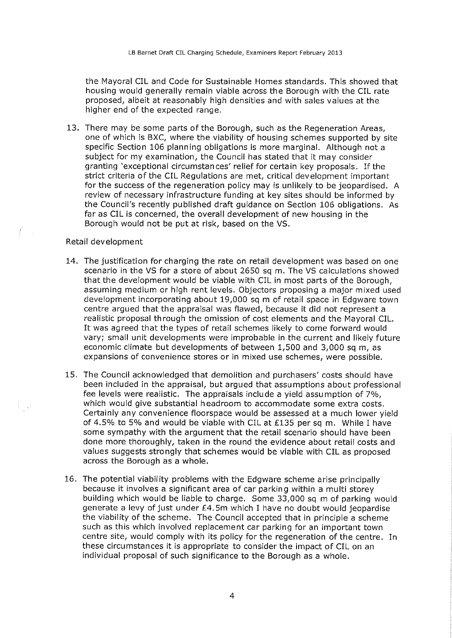the Mayoral CIL and Code for Sustainable Homes standards. This showed that housing would generally remain viable across the Borough with the CIL rate proposed, albeit at reasonably high densities and with sales values at the higher end of the expected range.

13. There may be some parts of the Borough, such as the Regeneration Areas, one of which is BXC, where the viability of housing schemes supported by site specific Section 106 planning obligations is more marginal. Although not a subject for my examination, the Council has stated that it may consider granting 'exceptional circumstances' relief for certain key proposals. If the strict criteria of the CIL Regulations are met, critical development important for the success of the regeneration policy may is unlikely to be jeopardised. A review of necessary infrastructure funding at key sites should be informed by the Council's recently published draft guidance on Section 106 obligations. As far as CIL is concerned, the overall development of new housing in the Borough would not be put at risk, based on the VS.

#### Retail development

 $\overline{F}$  and

€ju

- 14. The justification for charging the rate on retail development was based on one scenario in the VS for a store of about 2650 sq m. The VS calculations showed that the development would be viable with CIL in most parts of the Borough, assuming medium or high rent levels. Objectors proposing a major mixed used development incorporating about 19,000 sq m of retail space in Edgware town centre argued that the appraisal was flawed, because it did not represent a realistic proposal through the omission of cost elements and the Mayoral CIL. It was agreed that the types of retail schemes likely to come forward would vary; small unit developments were improbable in the current and likely future economic climate but developments of between 1,500 and 3,000 sq m, as expansions of convenience stores or in mixed use schemes, were possible.
- 15. The Council acknowledged that demolition and purchasers' costs should have been included in the appraisal, but argued that assumptions about professional fee levels were realistic. The appraisals include a yield assumption of 7%, which would give substantial headroom to accommodate some extra costs. Certainly any convenience floorspace would be assessed at a much lower yield of 4.5% to 5% and would be viable with CIL at £135 per sq m. While I have some sympathy with the argument that the retail scenario should have been done more thoroughly, taken in the round the evidence about retail costs and values suggests strongly that schemes would be viable with CIL as proposed across the Borough as a whole.
- 16. The potential viability problems with the Edgware scheme arise principally because it involves a significant area of car parking within a multi storey building which would be liable to charge. Some 33,000 sq m of parking would generate a levy of just under £4. Sm which I have no doubt would jeopardise the viability of the scheme. The Council accepted that in principle a scheme such as this which involved replacement car parking for an important town centre site, would comply with its policy for the regeneration of the centre. In these circumstances it is appropriate to consider the impact of CIL on an individual proposal of such significance to the Borough as a whole.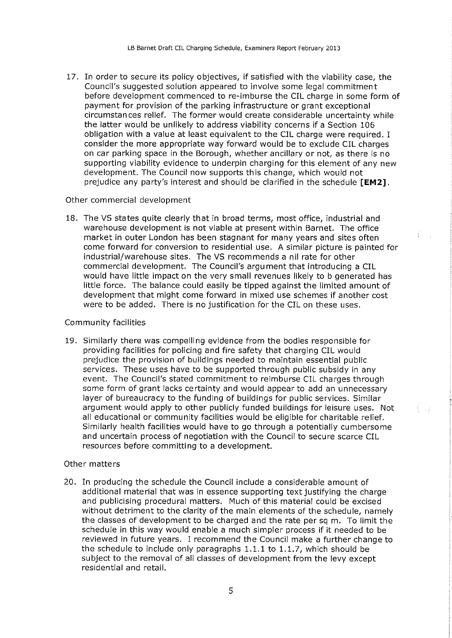17. In order to secure its policy objectives, if satisfied with the viability case, the Council's suggested solution appeared to involve some legal commitment before development commenced to re-imburse the CIL charge in some form of payment for provision of the parking infrastructure or grant exceptional circumstances relief. The former would create considerable uncertainty while the latter would be unlikely to address viability concerns if a Section 106 obligation with a value at least equivalent to the CIL charge were required. I consider the more appropriate way forward would be to exclude CIL charges on car parking space in the Borough, whether ancillary or not, as there is no supporting viability evidence to underpin charging for this element of any new development. The Council now supports this change, which would not prejudice any party's interest and should be clarified in the schedule **[EM2].** 

#### Other commercial development

18. The VS states quite clearly that in broad terms, most office, industrial and warehouse development is not viable at present within Barnet. The office market in outer London has been stagnant for many years and sites often come forward for conversion to residential use. A similar picture is painted for industrial/warehouse sites. The VS recommends a nil rate for other commercial development. The Council's argument that introducing a CIL would have little impact on the very small revenues likely to b generated has little force. The balance could easily be tipped against the limited amount of development that might come forward in mixed use schemes if another cost were to be added. There is no justification for the CIL on these uses.

#### Community facilities

19. Similarly there was compelling evidence from the bodies responsible for providing facilities for policing and fire safety that charging CIL would prejudice the provision of buildings needed to maintain essential public services. These uses have to be supported through public subsidy in any event. The Council's stated commitment to reimburse CIL charges through some form of grant lacks certainty and would appear to add an unnecessary layer of bureaucracy to the funding of buildings for public services. Similar argument would apply to other publicly funded buildings for leisure uses. Not all educational or community facilities would be eligible for charitable relief. Similarly health facilities would have to go through a potentially cumbersome and uncertain process of negotiation with the Council to secure scarce CIL resources before committing to a development.

#### Other matters

20. In producing the schedule the Council include a considerable amount of additional material that was in essence supporting text justifying the charge and publicising procedural matters. Much of this material could be excised without detriment to the clarity of the main elements of the schedule, namely the classes of development to be charged and the rate per sq m. To limit the schedule in this way would enable a much simpler process if it needed to be reviewed in future years. I recommend the Council make a further change to the schedule to include only paragraphs 1.1.1 to 1.1.7, which should be subject to the removal of all classes of development from the levy except residential and retail.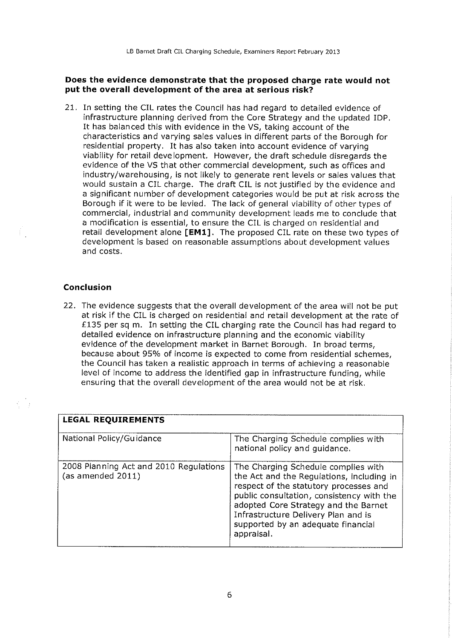## **Does the evidence demonstrate that the proposed charge rate would not put the overall development of the area at serious risk?**

21. In setting the CIL rates the Council has had regard to detailed evidence of infrastructure planning derived from the Core Strategy and the updated !DP. It has balanced this with evidence in the VS, taking account of the characteristics and varying sales values in different parts of the Borough for residential property. It has also taken into account evidence of varying viability for retail development. However, the draft schedule disregards the evidence of the VS that other commercial development, such as offices and industry/warehousing, is not likely to generate rent levels or sales values that would sustain a CIL charge. The draft CIL is not justified by the evidence and a significant number of development categories would be put at risk across the Borough if it were to be levied. The lack of general viability of other types of commercial, industrial and community development leads me to conclude that a modification is essential, to ensure the CIL is charged on residential and retail development alone **[EMl].** The proposed CIL rate on these two types of development is based on reasonable assumptions about development values and costs.

## **Conclusion**

22. The evidence suggests that the overall development of the area will not be put at risk if the CIL is charged on residential and retail development at the rate of £135 per sq m. In setting the CIL charging rate the Council has had regard to detailed evidence on infrastructure planning and the economic viability evidence of the development market in Barnet Borough. In broad terms, because about 95% of income is expected to come from residential schemes, the Council has taken a realistic approach in terms of achieving a reasonable level of income to address the identified gap in infrastructure funding, while ensuring that the overall development of the area would not be at risk.

| <b>LEGAL REQUIREMENTS</b>                                   |                                                                                                                                                                                                                                                                                                            |
|-------------------------------------------------------------|------------------------------------------------------------------------------------------------------------------------------------------------------------------------------------------------------------------------------------------------------------------------------------------------------------|
| National Policy/Guidance                                    | The Charging Schedule complies with<br>national policy and guidance.                                                                                                                                                                                                                                       |
| 2008 Planning Act and 2010 Regulations<br>(as amended 2011) | The Charging Schedule complies with<br>the Act and the Regulations, including in<br>respect of the statutory processes and<br>public consultation, consistency with the<br>adopted Core Strategy and the Barnet<br>Infrastructure Delivery Plan and is<br>supported by an adequate financial<br>appraisal. |